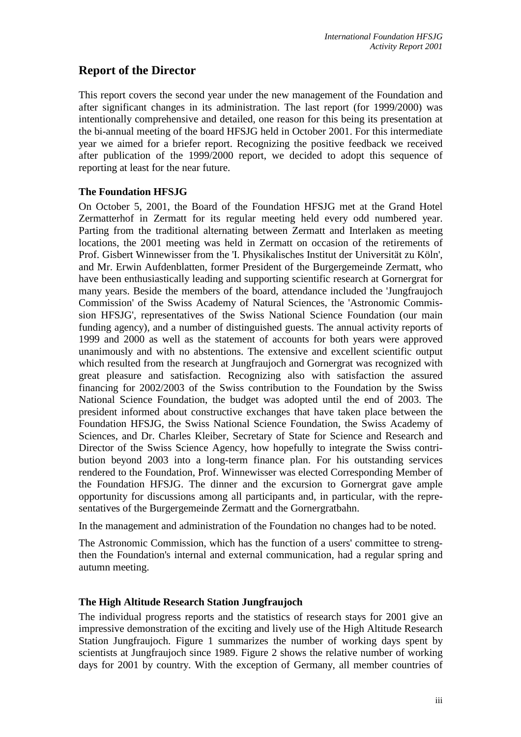# **Report of the Director**

This report covers the second year under the new management of the Foundation and after significant changes in its administration. The last report (for 1999/2000) was intentionally comprehensive and detailed, one reason for this being its presentation at the bi-annual meeting of the board HFSJG held in October 2001. For this intermediate year we aimed for a briefer report. Recognizing the positive feedback we received after publication of the 1999/2000 report, we decided to adopt this sequence of reporting at least for the near future.

## **The Foundation HFSJG**

On October 5, 2001, the Board of the Foundation HFSJG met at the Grand Hotel Zermatterhof in Zermatt for its regular meeting held every odd numbered year. Parting from the traditional alternating between Zermatt and Interlaken as meeting locations, the 2001 meeting was held in Zermatt on occasion of the retirements of Prof. Gisbert Winnewisser from the 'I. Physikalisches Institut der Universität zu Köln', and Mr. Erwin Aufdenblatten, former President of the Burgergemeinde Zermatt, who have been enthusiastically leading and supporting scientific research at Gornergrat for many years. Beside the members of the board, attendance included the 'Jungfraujoch Commission' of the Swiss Academy of Natural Sciences, the 'Astronomic Commission HFSJG', representatives of the Swiss National Science Foundation (our main funding agency), and a number of distinguished guests. The annual activity reports of 1999 and 2000 as well as the statement of accounts for both years were approved unanimously and with no abstentions. The extensive and excellent scientific output which resulted from the research at Jungfraujoch and Gornergrat was recognized with great pleasure and satisfaction. Recognizing also with satisfaction the assured financing for 2002/2003 of the Swiss contribution to the Foundation by the Swiss National Science Foundation, the budget was adopted until the end of 2003. The president informed about constructive exchanges that have taken place between the Foundation HFSJG, the Swiss National Science Foundation, the Swiss Academy of Sciences, and Dr. Charles Kleiber, Secretary of State for Science and Research and Director of the Swiss Science Agency, how hopefully to integrate the Swiss contribution beyond 2003 into a long-term finance plan. For his outstanding services rendered to the Foundation, Prof. Winnewisser was elected Corresponding Member of the Foundation HFSJG. The dinner and the excursion to Gornergrat gave ample opportunity for discussions among all participants and, in particular, with the representatives of the Burgergemeinde Zermatt and the Gornergratbahn.

In the management and administration of the Foundation no changes had to be noted.

The Astronomic Commission, which has the function of a users' committee to strengthen the Foundation's internal and external communication, had a regular spring and autumn meeting.

## **The High Altitude Research Station Jungfraujoch**

The individual progress reports and the statistics of research stays for 2001 give an impressive demonstration of the exciting and lively use of the High Altitude Research Station Jungfraujoch. Figure 1 summarizes the number of working days spent by scientists at Jungfraujoch since 1989. Figure 2 shows the relative number of working days for 2001 by country. With the exception of Germany, all member countries of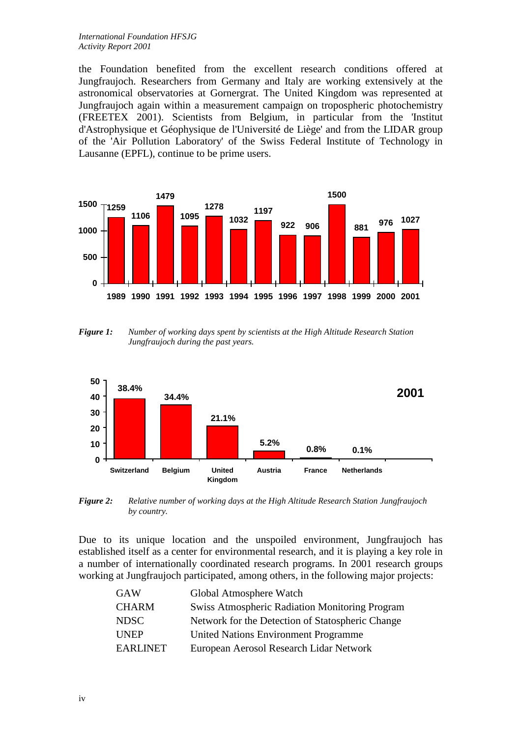the Foundation benefited from the excellent research conditions offered at Jungfraujoch. Researchers from Germany and Italy are working extensively at the astronomical observatories at Gornergrat. The United Kingdom was represented at Jungfraujoch again within a measurement campaign on tropospheric photochemistry (FREETEX 2001). Scientists from Belgium, in particular from the 'Institut d'Astrophysique et Géophysique de l'Université de Liège' and from the LIDAR group of the 'Air Pollution Laboratory' of the Swiss Federal Institute of Technology in Lausanne (EPFL), continue to be prime users.



*Figure 1: Number of working days spent by scientists at the High Altitude Research Station Jungfraujoch during the past years.*



*Figure 2: Relative number of working days at the High Altitude Research Station Jungfraujoch by country.* 

Due to its unique location and the unspoiled environment, Jungfraujoch has established itself as a center for environmental research, and it is playing a key role in a number of internationally coordinated research programs. In 2001 research groups working at Jungfraujoch participated, among others, in the following major projects:

| <b>GAW</b>      | Global Atmosphere Watch                               |
|-----------------|-------------------------------------------------------|
| <b>CHARM</b>    | <b>Swiss Atmospheric Radiation Monitoring Program</b> |
| <b>NDSC</b>     | Network for the Detection of Statospheric Change      |
| <b>UNEP</b>     | <b>United Nations Environment Programme</b>           |
| <b>EARLINET</b> | European Aerosol Research Lidar Network               |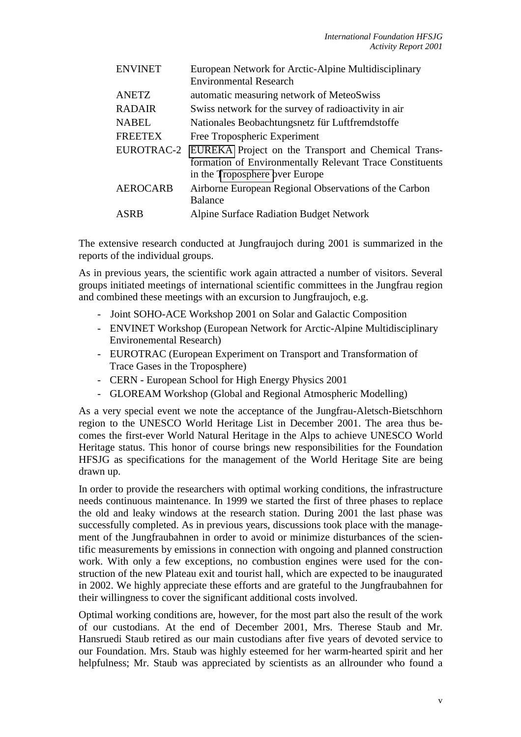| <b>ENVINET</b>  | European Network for Arctic-Alpine Multidisciplinary           |
|-----------------|----------------------------------------------------------------|
|                 | <b>Environmental Research</b>                                  |
| <b>ANETZ</b>    | automatic measuring network of MeteoSwiss                      |
| <b>RADAIR</b>   | Swiss network for the survey of radioactivity in air           |
| <b>NABEL</b>    | Nationales Beobachtungsnetz für Luftfremdstoffe                |
| <b>FREETEX</b>  | Free Tropospheric Experiment                                   |
|                 | EUROTRAC-2 EUREKA Project on the Transport and Chemical Trans- |
|                 | formation of Environmentally Relevant Trace Constituents       |
|                 | in the Troposphere over Europe                                 |
| <b>AEROCARB</b> | Airborne European Regional Observations of the Carbon          |
|                 | <b>Balance</b>                                                 |
| ASRB            | <b>Alpine Surface Radiation Budget Network</b>                 |

The extensive research conducted at Jungfraujoch during 2001 is summarized in the reports of the individual groups.

As in previous years, the scientific work again attracted a number of visitors. Several groups initiated meetings of international scientific committees in the Jungfrau region and combined these meetings with an excursion to Jungfraujoch, e.g.

- Joint SOHO-ACE Workshop 2001 on Solar and Galactic Composition
- ENVINET Workshop (European Network for Arctic-Alpine Multidisciplinary Environemental Research)
- EUROTRAC (European Experiment on Transport and Transformation of Trace Gases in the Troposphere)
- CERN European School for High Energy Physics 2001
- GLOREAM Workshop (Global and Regional Atmospheric Modelling)

As a very special event we note the acceptance of the Jungfrau-Aletsch-Bietschhorn region to the UNESCO World Heritage List in December 2001. The area thus becomes the first-ever World Natural Heritage in the Alps to achieve UNESCO World Heritage status. This honor of course brings new responsibilities for the Foundation HFSJG as specifications for the management of the World Heritage Site are being drawn up.

In order to provide the researchers with optimal working conditions, the infrastructure needs continuous maintenance. In 1999 we started the first of three phases to replace the old and leaky windows at the research station. During 2001 the last phase was successfully completed. As in previous years, discussions took place with the management of the Jungfraubahnen in order to avoid or minimize disturbances of the scientific measurements by emissions in connection with ongoing and planned construction work. With only a few exceptions, no combustion engines were used for the construction of the new Plateau exit and tourist hall, which are expected to be inaugurated in 2002. We highly appreciate these efforts and are grateful to the Jungfraubahnen for their willingness to cover the significant additional costs involved.

Optimal working conditions are, however, for the most part also the result of the work of our custodians. At the end of December 2001, Mrs. Therese Staub and Mr. Hansruedi Staub retired as our main custodians after five years of devoted service to our Foundation. Mrs. Staub was highly esteemed for her warm-hearted spirit and her helpfulness; Mr. Staub was appreciated by scientists as an allrounder who found a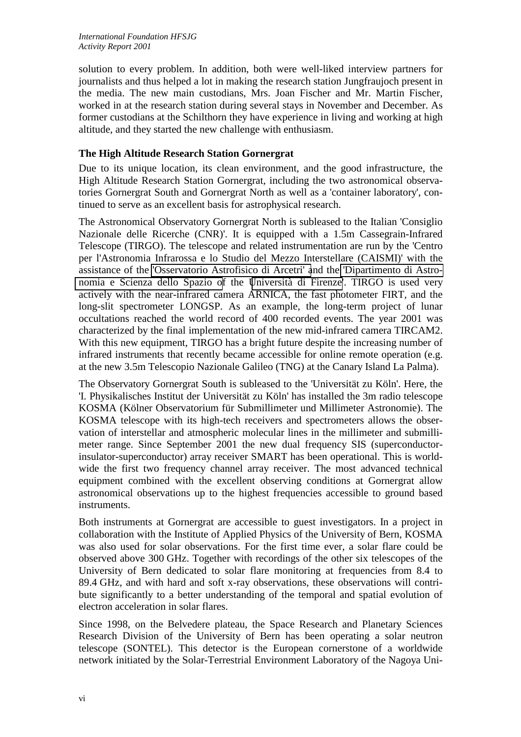solution to every problem. In addition, both were well-liked interview partners for journalists and thus helped a lot in making the research station Jungfraujoch present in the media. The new main custodians, Mrs. Joan Fischer and Mr. Martin Fischer, worked in at the research station during several stays in November and December. As former custodians at the Schilthorn they have experience in living and working at high altitude, and they started the new challenge with enthusiasm.

#### **The High Altitude Research Station Gornergrat**

Due to its unique location, its clean environment, and the good infrastructure, the High Altitude Research Station Gornergrat, including the two astronomical observatories Gornergrat South and Gornergrat North as well as a 'container laboratory', continued to serve as an excellent basis for astrophysical research.

The Astronomical Observatory Gornergrat North is subleased to the Italian 'Consiglio Nazionale delle Ricerche (CNR)'. It is equipped with a 1.5m Cassegrain-Infrared Telescope (TIRGO). The telescope and related instrumentation are run by the 'Centro per l'Astronomia Infrarossa e lo Studio del Mezzo Interstellare (CAISMI)' with the assistance of the ['Osservatorio Astrofisico di Arcetri' a](http://www.arcetri.astro.it/)nd the ['Dipartimento di Astro](http://www.arcetri.astro.it/Dipartimento)[nomia e Scienza dello Spazio of](http://www.arcetri.astro.it/Dipartimento) the [Università di Firenze](http://www.unifi.it/)'. TIRGO is used very actively with the near-infrared camera ARNICA, the fast photometer FIRT, and the long-slit spectrometer LONGSP. As an example, the long-term project of lunar occultations reached the world record of 400 recorded events. The year 2001 was characterized by the final implementation of the new mid-infrared camera TIRCAM2. With this new equipment, TIRGO has a bright future despite the increasing number of infrared instruments that recently became accessible for online remote operation (e.g. at the new 3.5m Telescopio Nazionale Galileo (TNG) at the Canary Island La Palma).

The Observatory Gornergrat South is subleased to the 'Universität zu Köln'. Here, the 'I. Physikalisches Institut der Universität zu Köln' has installed the 3m radio telescope KOSMA (Kölner Observatorium für Submillimeter und Millimeter Astronomie). The KOSMA telescope with its high-tech receivers and spectrometers allows the observation of interstellar and atmospheric molecular lines in the millimeter and submillimeter range. Since September 2001 the new dual frequency SIS (superconductorinsulator-superconductor) array receiver SMART has been operational. This is worldwide the first two frequency channel array receiver. The most advanced technical equipment combined with the excellent observing conditions at Gornergrat allow astronomical observations up to the highest frequencies accessible to ground based instruments.

Both instruments at Gornergrat are accessible to guest investigators. In a project in collaboration with the Institute of Applied Physics of the University of Bern, KOSMA was also used for solar observations. For the first time ever, a solar flare could be observed above 300 GHz. Together with recordings of the other six telescopes of the University of Bern dedicated to solar flare monitoring at frequencies from 8.4 to 89.4 GHz, and with hard and soft x-ray observations, these observations will contribute significantly to a better understanding of the temporal and spatial evolution of electron acceleration in solar flares.

Since 1998, on the Belvedere plateau, the Space Research and Planetary Sciences Research Division of the University of Bern has been operating a solar neutron telescope (SONTEL). This detector is the European cornerstone of a worldwide network initiated by the Solar-Terrestrial Environment Laboratory of the Nagoya Uni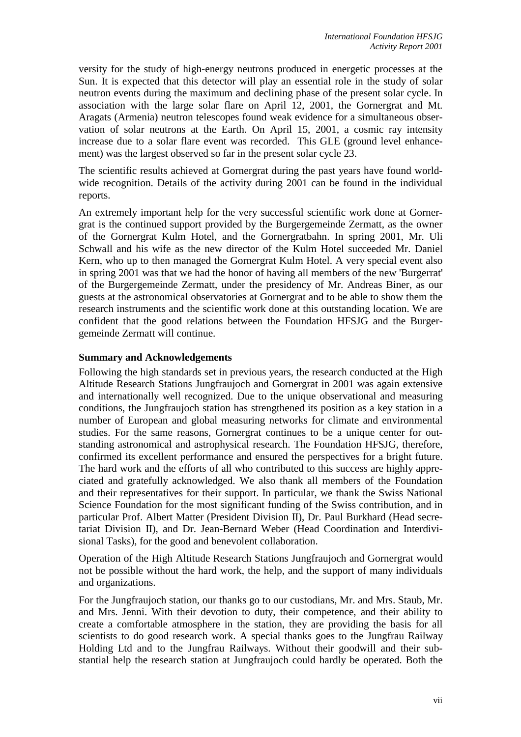versity for the study of high-energy neutrons produced in energetic processes at the Sun. It is expected that this detector will play an essential role in the study of solar neutron events during the maximum and declining phase of the present solar cycle. In association with the large solar flare on April 12, 2001, the Gornergrat and Mt. Aragats (Armenia) neutron telescopes found weak evidence for a simultaneous observation of solar neutrons at the Earth. On April 15, 2001, a cosmic ray intensity increase due to a solar flare event was recorded. This GLE (ground level enhancement) was the largest observed so far in the present solar cycle 23.

The scientific results achieved at Gornergrat during the past years have found worldwide recognition. Details of the activity during 2001 can be found in the individual reports.

An extremely important help for the very successful scientific work done at Gornergrat is the continued support provided by the Burgergemeinde Zermatt, as the owner of the Gornergrat Kulm Hotel, and the Gornergratbahn. In spring 2001, Mr. Uli Schwall and his wife as the new director of the Kulm Hotel succeeded Mr. Daniel Kern, who up to then managed the Gornergrat Kulm Hotel. A very special event also in spring 2001 was that we had the honor of having all members of the new 'Burgerrat' of the Burgergemeinde Zermatt, under the presidency of Mr. Andreas Biner, as our guests at the astronomical observatories at Gornergrat and to be able to show them the research instruments and the scientific work done at this outstanding location. We are confident that the good relations between the Foundation HFSJG and the Burgergemeinde Zermatt will continue.

#### **Summary and Acknowledgements**

Following the high standards set in previous years, the research conducted at the High Altitude Research Stations Jungfraujoch and Gornergrat in 2001 was again extensive and internationally well recognized. Due to the unique observational and measuring conditions, the Jungfraujoch station has strengthened its position as a key station in a number of European and global measuring networks for climate and environmental studies. For the same reasons, Gornergrat continues to be a unique center for outstanding astronomical and astrophysical research. The Foundation HFSJG, therefore, confirmed its excellent performance and ensured the perspectives for a bright future. The hard work and the efforts of all who contributed to this success are highly appreciated and gratefully acknowledged. We also thank all members of the Foundation and their representatives for their support. In particular, we thank the Swiss National Science Foundation for the most significant funding of the Swiss contribution, and in particular Prof. Albert Matter (President Division II), Dr. Paul Burkhard (Head secretariat Division II), and Dr. Jean-Bernard Weber (Head Coordination and Interdivisional Tasks), for the good and benevolent collaboration.

Operation of the High Altitude Research Stations Jungfraujoch and Gornergrat would not be possible without the hard work, the help, and the support of many individuals and organizations.

For the Jungfraujoch station, our thanks go to our custodians, Mr. and Mrs. Staub, Mr. and Mrs. Jenni. With their devotion to duty, their competence, and their ability to create a comfortable atmosphere in the station, they are providing the basis for all scientists to do good research work. A special thanks goes to the Jungfrau Railway Holding Ltd and to the Jungfrau Railways. Without their goodwill and their substantial help the research station at Jungfraujoch could hardly be operated. Both the